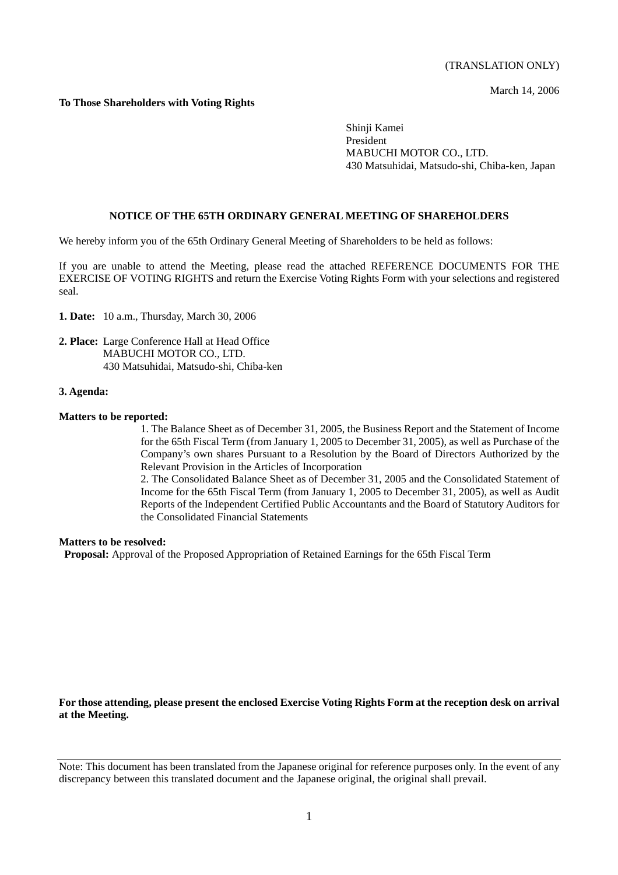(TRANSLATION ONLY)

March 14, 2006

## **To Those Shareholders with Voting Rights**

Shinji Kamei President MABUCHI MOTOR CO., LTD. 430 Matsuhidai, Matsudo-shi, Chiba-ken, Japan

#### **NOTICE OF THE 65TH ORDINARY GENERAL MEETING OF SHAREHOLDERS**

We hereby inform you of the 65th Ordinary General Meeting of Shareholders to be held as follows:

If you are unable to attend the Meeting, please read the attached REFERENCE DOCUMENTS FOR THE EXERCISE OF VOTING RIGHTS and return the Exercise Voting Rights Form with your selections and registered seal.

- **1. Date:** 10 a.m., Thursday, March 30, 2006
- **2. Place:** Large Conference Hall at Head Office MABUCHI MOTOR CO., LTD. 430 Matsuhidai, Matsudo-shi, Chiba-ken

#### **3. Agenda:**

#### **Matters to be reported:**

1. The Balance Sheet as of December 31, 2005, the Business Report and the Statement of Income for the 65th Fiscal Term (from January 1, 2005 to December 31, 2005), as well as Purchase of the Company's own shares Pursuant to a Resolution by the Board of Directors Authorized by the Relevant Provision in the Articles of Incorporation

2. The Consolidated Balance Sheet as of December 31, 2005 and the Consolidated Statement of Income for the 65th Fiscal Term (from January 1, 2005 to December 31, 2005), as well as Audit Reports of the Independent Certified Public Accountants and the Board of Statutory Auditors for the Consolidated Financial Statements

#### **Matters to be resolved:**

 **Proposal:** Approval of the Proposed Appropriation of Retained Earnings for the 65th Fiscal Term

**For those attending, please present the enclosed Exercise Voting Rights Form at the reception desk on arrival at the Meeting.** 

Note: This document has been translated from the Japanese original for reference purposes only. In the event of any discrepancy between this translated document and the Japanese original, the original shall prevail.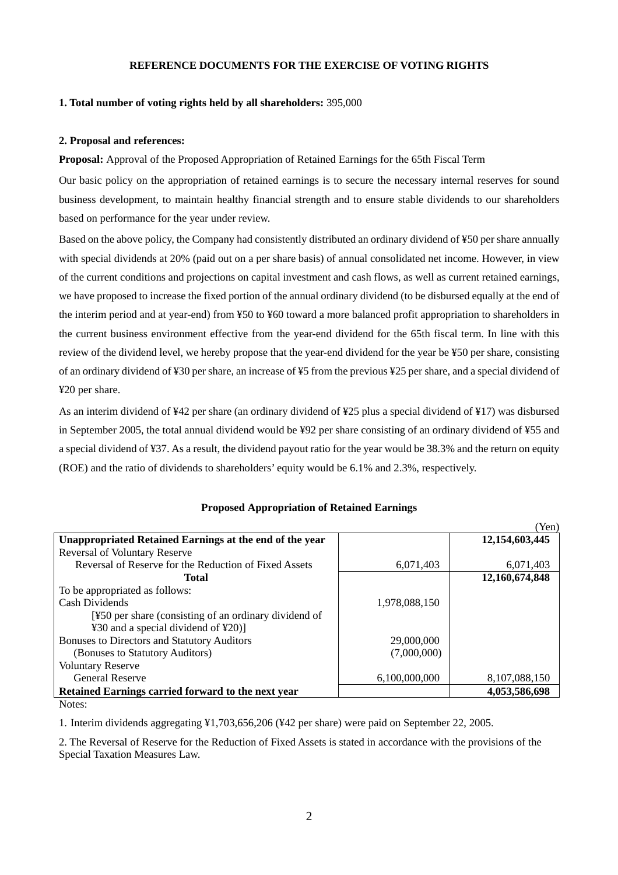## **REFERENCE DOCUMENTS FOR THE EXERCISE OF VOTING RIGHTS**

#### **1. Total number of voting rights held by all shareholders:** 395,000

#### **2. Proposal and references:**

**Proposal:** Approval of the Proposed Appropriation of Retained Earnings for the 65th Fiscal Term

Our basic policy on the appropriation of retained earnings is to secure the necessary internal reserves for sound business development, to maintain healthy financial strength and to ensure stable dividends to our shareholders based on performance for the year under review.

Based on the above policy, the Company had consistently distributed an ordinary dividend of ¥50 per share annually with special dividends at 20% (paid out on a per share basis) of annual consolidated net income. However, in view of the current conditions and projections on capital investment and cash flows, as well as current retained earnings, we have proposed to increase the fixed portion of the annual ordinary dividend (to be disbursed equally at the end of the interim period and at year-end) from ¥50 to ¥60 toward a more balanced profit appropriation to shareholders in the current business environment effective from the year-end dividend for the 65th fiscal term. In line with this review of the dividend level, we hereby propose that the year-end dividend for the year be ¥50 per share, consisting of an ordinary dividend of ¥30 per share, an increase of ¥5 from the previous ¥25 per share, and a special dividend of ¥20 per share.

As an interim dividend of ¥42 per share (an ordinary dividend of ¥25 plus a special dividend of ¥17) was disbursed in September 2005, the total annual dividend would be ¥92 per share consisting of an ordinary dividend of ¥55 and a special dividend of ¥37. As a result, the dividend payout ratio for the year would be 38.3% and the return on equity (ROE) and the ratio of dividends to shareholders' equity would be 6.1% and 2.3%, respectively.

|                                                         |               | (Yen)          |
|---------------------------------------------------------|---------------|----------------|
| Unappropriated Retained Earnings at the end of the year |               | 12,154,603,445 |
| <b>Reversal of Voluntary Reserve</b>                    |               |                |
| Reversal of Reserve for the Reduction of Fixed Assets   | 6,071,403     | 6,071,403      |
| Total                                                   |               | 12,160,674,848 |
| To be appropriated as follows:                          |               |                |
| Cash Dividends                                          | 1,978,088,150 |                |
| [¥50 per share (consisting of an ordinary dividend of   |               |                |
| ¥30 and a special dividend of ¥20)]                     |               |                |
| <b>Bonuses to Directors and Statutory Auditors</b>      | 29,000,000    |                |
| (Bonuses to Statutory Auditors)                         | (7,000,000)   |                |
| <b>Voluntary Reserve</b>                                |               |                |
| <b>General Reserve</b>                                  | 6,100,000,000 | 8,107,088,150  |
| Retained Earnings carried forward to the next year      |               | 4,053,586,698  |

## **Proposed Appropriation of Retained Earnings**

Notes:

1. Interim dividends aggregating ¥1,703,656,206 (¥42 per share) were paid on September 22, 2005.

2. The Reversal of Reserve for the Reduction of Fixed Assets is stated in accordance with the provisions of the Special Taxation Measures Law.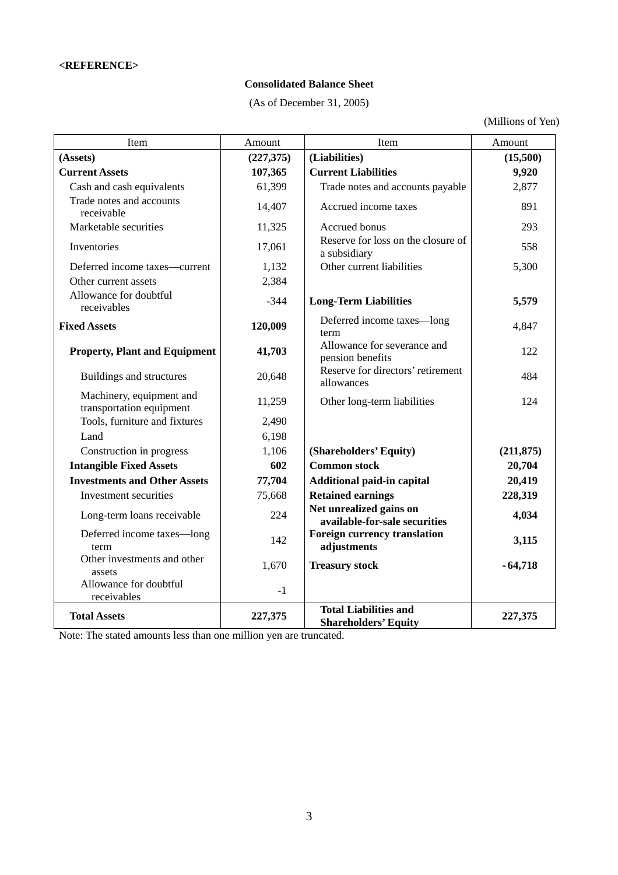## **Consolidated Balance Sheet**

(As of December 31, 2005)

(Millions of Yen)

| Item                                                 | Amount    | Item                                                        | Amount     |
|------------------------------------------------------|-----------|-------------------------------------------------------------|------------|
| (Assets)                                             | (227,375) | (Liabilities)                                               | (15,500)   |
| <b>Current Assets</b>                                | 107,365   | <b>Current Liabilities</b>                                  | 9,920      |
| Cash and cash equivalents                            | 61,399    | Trade notes and accounts payable                            | 2,877      |
| Trade notes and accounts<br>receivable               | 14,407    | Accrued income taxes                                        | 891        |
| Marketable securities                                | 11,325    | Accrued bonus                                               | 293        |
| Inventories                                          | 17,061    | Reserve for loss on the closure of<br>a subsidiary          | 558        |
| Deferred income taxes-current                        | 1,132     | Other current liabilities                                   | 5,300      |
| Other current assets                                 | 2,384     |                                                             |            |
| Allowance for doubtful<br>receivables                | $-344$    | <b>Long-Term Liabilities</b>                                | 5,579      |
| <b>Fixed Assets</b>                                  | 120,009   | Deferred income taxes-long<br>term                          | 4,847      |
| <b>Property, Plant and Equipment</b>                 | 41,703    | Allowance for severance and<br>pension benefits             | 122        |
| Buildings and structures                             | 20,648    | Reserve for directors' retirement<br>allowances             | 484        |
| Machinery, equipment and<br>transportation equipment | 11,259    | Other long-term liabilities                                 | 124        |
| Tools, furniture and fixtures                        | 2,490     |                                                             |            |
| Land                                                 | 6,198     |                                                             |            |
| Construction in progress                             | 1,106     | (Shareholders' Equity)                                      | (211, 875) |
| <b>Intangible Fixed Assets</b>                       | 602       | <b>Common stock</b>                                         | 20,704     |
| <b>Investments and Other Assets</b>                  | 77,704    | Additional paid-in capital                                  | 20,419     |
| Investment securities                                | 75,668    | <b>Retained earnings</b>                                    | 228,319    |
| Long-term loans receivable                           | 224       | Net unrealized gains on<br>available-for-sale securities    | 4,034      |
| Deferred income taxes-long<br>term                   | 142       | <b>Foreign currency translation</b><br>adjustments          | 3,115      |
| Other investments and other<br>assets                | 1,670     | <b>Treasury stock</b>                                       | $-64,718$  |
| Allowance for doubtful<br>receivables                | $-1$      |                                                             |            |
| <b>Total Assets</b>                                  | 227,375   | <b>Total Liabilities and</b><br><b>Shareholders' Equity</b> | 227,375    |

Note: The stated amounts less than one million yen are truncated.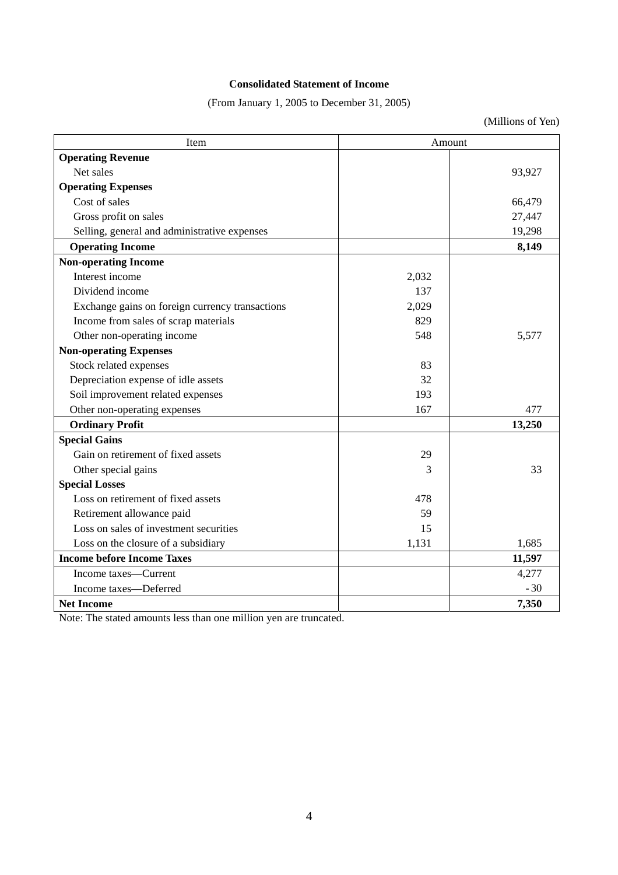# **Consolidated Statement of Income**

(From January 1, 2005 to December 31, 2005)

(Millions of Yen)

| Item                                            | Amount |        |
|-------------------------------------------------|--------|--------|
| <b>Operating Revenue</b>                        |        |        |
| Net sales                                       |        | 93,927 |
| <b>Operating Expenses</b>                       |        |        |
| Cost of sales                                   |        | 66,479 |
| Gross profit on sales                           |        | 27,447 |
| Selling, general and administrative expenses    |        | 19,298 |
| <b>Operating Income</b>                         |        | 8,149  |
| <b>Non-operating Income</b>                     |        |        |
| Interest income                                 | 2,032  |        |
| Dividend income                                 | 137    |        |
| Exchange gains on foreign currency transactions | 2,029  |        |
| Income from sales of scrap materials            | 829    |        |
| Other non-operating income                      | 548    | 5,577  |
| <b>Non-operating Expenses</b>                   |        |        |
| Stock related expenses                          | 83     |        |
| Depreciation expense of idle assets             | 32     |        |
| Soil improvement related expenses               | 193    |        |
| Other non-operating expenses                    | 167    | 477    |
| <b>Ordinary Profit</b>                          |        | 13,250 |
| <b>Special Gains</b>                            |        |        |
| Gain on retirement of fixed assets              | 29     |        |
| Other special gains                             | 3      | 33     |
| <b>Special Losses</b>                           |        |        |
| Loss on retirement of fixed assets              | 478    |        |
| Retirement allowance paid                       | 59     |        |
| Loss on sales of investment securities          | 15     |        |
| Loss on the closure of a subsidiary             | 1,131  | 1,685  |
| <b>Income before Income Taxes</b>               |        | 11,597 |
| Income taxes—Current                            |        | 4,277  |
| Income taxes-Deferred                           |        | $-30$  |
| <b>Net Income</b>                               |        | 7,350  |

Note: The stated amounts less than one million yen are truncated.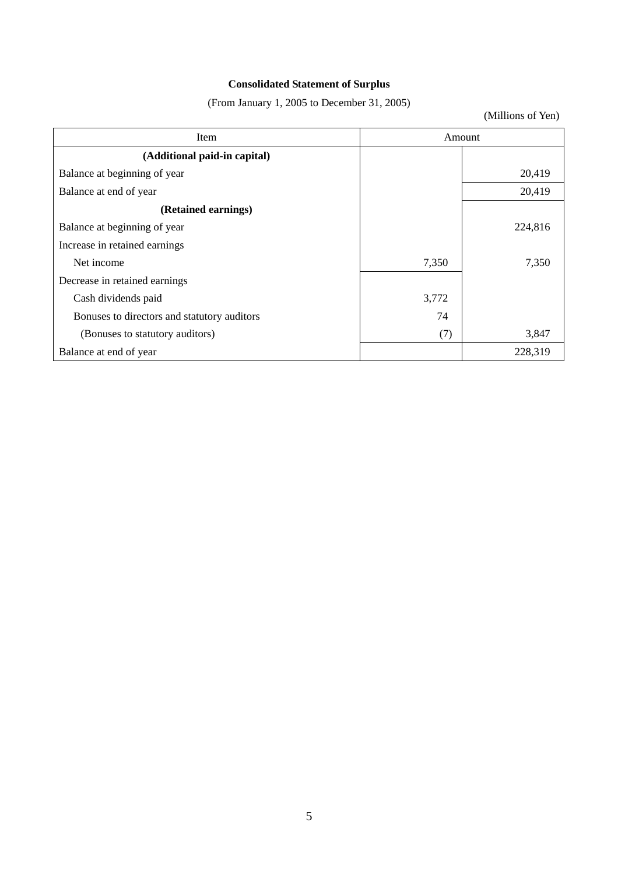# **Consolidated Statement of Surplus**

(From January 1, 2005 to December 31, 2005)

(Millions of Yen)

| Item                                        | Amount |         |
|---------------------------------------------|--------|---------|
| (Additional paid-in capital)                |        |         |
| Balance at beginning of year                |        | 20,419  |
| Balance at end of year                      |        | 20,419  |
| (Retained earnings)                         |        |         |
| Balance at beginning of year                |        | 224,816 |
| Increase in retained earnings               |        |         |
| Net income                                  | 7,350  | 7,350   |
| Decrease in retained earnings               |        |         |
| Cash dividends paid                         | 3,772  |         |
| Bonuses to directors and statutory auditors | 74     |         |
| (Bonuses to statutory auditors)             | (7)    | 3,847   |
| Balance at end of year                      |        | 228,319 |